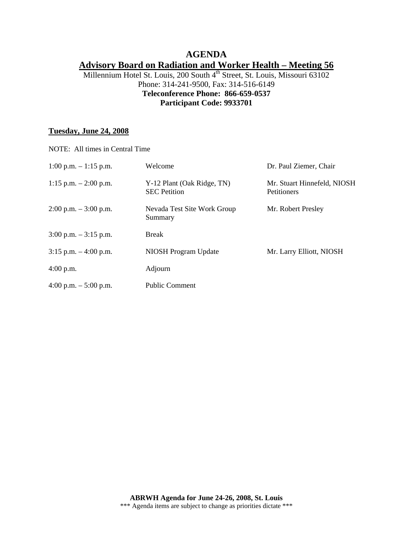# **AGENDA Advisory Board on Radiation and Worker Health – Meeting 56**

Millennium Hotel St. Louis, 200 South 4<sup>th</sup> Street, St. Louis, Missouri 63102 Phone: 314-241-9500, Fax: 314-516-6149 **Teleconference Phone: 866-659-0537 Participant Code: 9933701** 

### **Tuesday, June 24, 2008**

| NOTE: All times in Central Time |                                                   |                                            |
|---------------------------------|---------------------------------------------------|--------------------------------------------|
| $1:00$ p.m. $-1:15$ p.m.        | Welcome                                           | Dr. Paul Ziemer, Chair                     |
| 1:15 p.m. $- 2:00$ p.m.         | Y-12 Plant (Oak Ridge, TN)<br><b>SEC</b> Petition | Mr. Stuart Hinnefeld, NIOSH<br>Petitioners |
| $2:00$ p.m. $-3:00$ p.m.        | Nevada Test Site Work Group<br>Summary            | Mr. Robert Presley                         |
| $3:00$ p.m. $-3:15$ p.m.        | <b>Break</b>                                      |                                            |
| $3:15$ p.m. $-4:00$ p.m.        | <b>NIOSH Program Update</b>                       | Mr. Larry Elliott, NIOSH                   |
| $4:00$ p.m.                     | Adjourn                                           |                                            |
| 4:00 p.m. $-$ 5:00 p.m.         | <b>Public Comment</b>                             |                                            |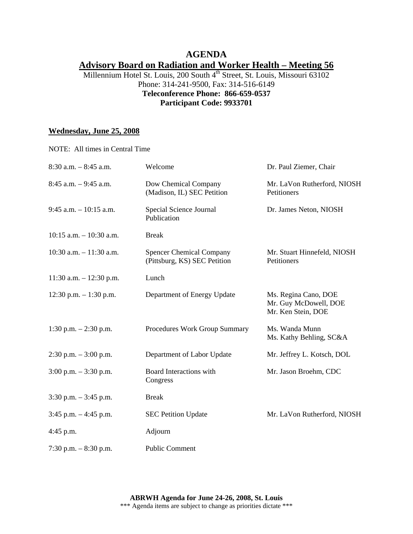# **AGENDA Advisory Board on Radiation and Worker Health – Meeting 56**

### Millennium Hotel St. Louis, 200 South 4<sup>th</sup> Street, St. Louis, Missouri 63102 Phone: 314-241-9500, Fax: 314-516-6149 **Teleconference Phone: 866-659-0537 Participant Code: 9933701**

### **Wednesday, June 25, 2008**

| NOTE: All times in Central Time |                                                                 |                                                                     |
|---------------------------------|-----------------------------------------------------------------|---------------------------------------------------------------------|
| $8:30$ a.m. $-8:45$ a.m.        | Welcome                                                         | Dr. Paul Ziemer, Chair                                              |
| $8:45$ a.m. $-9:45$ a.m.        | Dow Chemical Company<br>(Madison, IL) SEC Petition              | Mr. LaVon Rutherford, NIOSH<br>Petitioners                          |
| $9:45$ a.m. $-10:15$ a.m.       | Special Science Journal<br>Publication                          | Dr. James Neton, NIOSH                                              |
| $10:15$ a.m. $-10:30$ a.m.      | <b>Break</b>                                                    |                                                                     |
| $10:30$ a.m. $-11:30$ a.m.      | <b>Spencer Chemical Company</b><br>(Pittsburg, KS) SEC Petition | Mr. Stuart Hinnefeld, NIOSH<br>Petitioners                          |
| $11:30$ a.m. $-12:30$ p.m.      | Lunch                                                           |                                                                     |
| $12:30$ p.m. $-1:30$ p.m.       | Department of Energy Update                                     | Ms. Regina Cano, DOE<br>Mr. Guy McDowell, DOE<br>Mr. Ken Stein, DOE |
| 1:30 p.m. $- 2:30$ p.m.         | Procedures Work Group Summary                                   | Ms. Wanda Munn<br>Ms. Kathy Behling, SC&A                           |
| $2:30$ p.m. $-3:00$ p.m.        | Department of Labor Update                                      | Mr. Jeffrey L. Kotsch, DOL                                          |
| $3:00$ p.m. $-3:30$ p.m.        | Board Interactions with<br>Congress                             | Mr. Jason Broehm, CDC                                               |
| $3:30$ p.m. $-3:45$ p.m.        | <b>Break</b>                                                    |                                                                     |
| $3:45$ p.m. $-4:45$ p.m.        | <b>SEC Petition Update</b>                                      | Mr. LaVon Rutherford, NIOSH                                         |
| $4:45$ p.m.                     | Adjourn                                                         |                                                                     |
| 7:30 p.m. $-8:30$ p.m.          | <b>Public Comment</b>                                           |                                                                     |